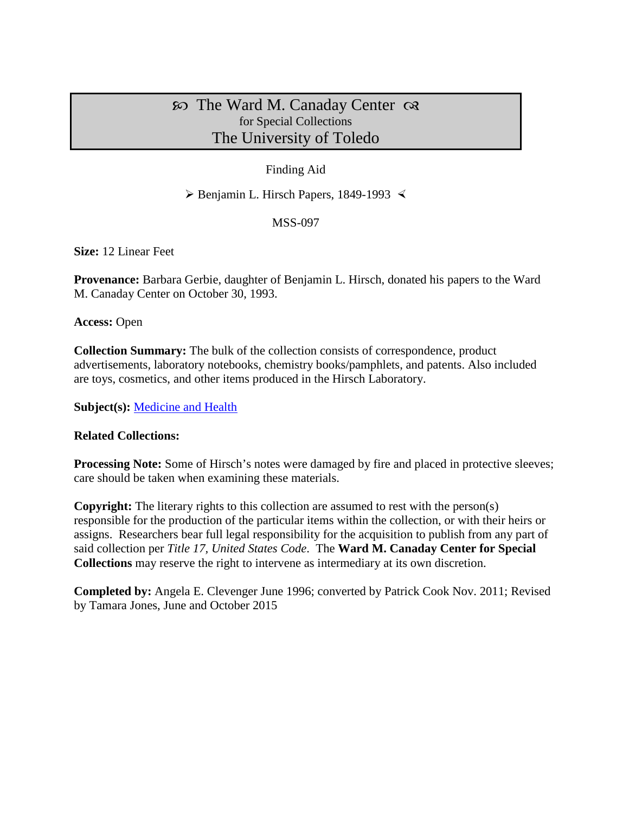# $\infty$  The Ward M. Canaday Center  $\infty$ for Special Collections The University of Toledo

## Finding Aid

 $\triangleright$  Benjamin L. Hirsch Papers, 1849-1993

## MSS-097

**Size:** 12 Linear Feet

**Provenance:** Barbara Gerbie, daughter of Benjamin L. Hirsch, donated his papers to the Ward M. Canaday Center on October 30, 1993.

**Access:** Open

**Collection Summary:** The bulk of the collection consists of correspondence, product advertisements, laboratory notebooks, chemistry books/pamphlets, and patents. Also included are toys, cosmetics, and other items produced in the Hirsch Laboratory.

**Subject(s):** [Medicine and Health](http://www.utoledo.edu/library/canaday/guidepages/med.html)

### **Related Collections:**

**Processing Note:** Some of Hirsch's notes were damaged by fire and placed in protective sleeves; care should be taken when examining these materials.

**Copyright:** The literary rights to this collection are assumed to rest with the person(s) responsible for the production of the particular items within the collection, or with their heirs or assigns. Researchers bear full legal responsibility for the acquisition to publish from any part of said collection per *Title 17, United States Code*. The **Ward M. Canaday Center for Special Collections** may reserve the right to intervene as intermediary at its own discretion.

**Completed by:** Angela E. Clevenger June 1996; converted by Patrick Cook Nov. 2011; Revised by Tamara Jones, June and October 2015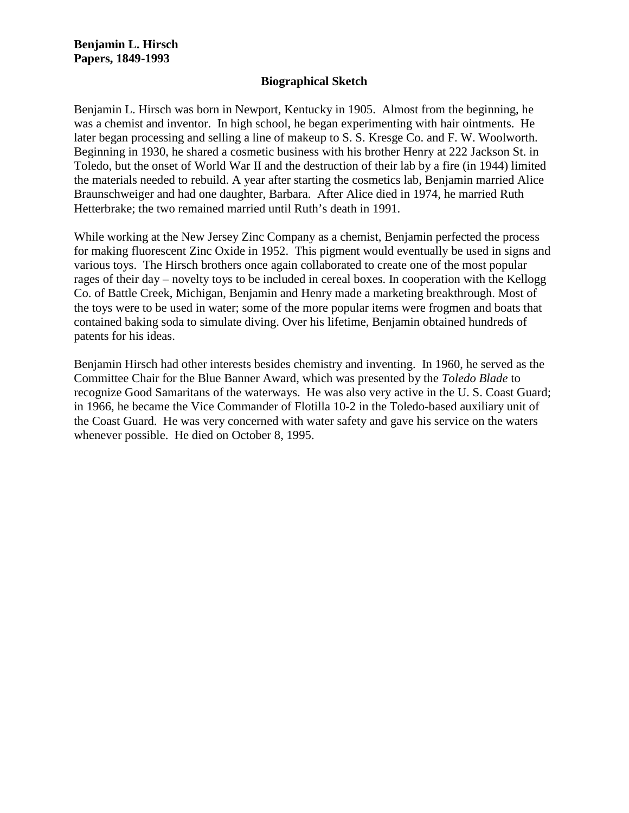#### **Biographical Sketch**

Benjamin L. Hirsch was born in Newport, Kentucky in 1905. Almost from the beginning, he was a chemist and inventor. In high school, he began experimenting with hair ointments. He later began processing and selling a line of makeup to S. S. Kresge Co. and F. W. Woolworth. Beginning in 1930, he shared a cosmetic business with his brother Henry at 222 Jackson St. in Toledo, but the onset of World War II and the destruction of their lab by a fire (in 1944) limited the materials needed to rebuild. A year after starting the cosmetics lab, Benjamin married Alice Braunschweiger and had one daughter, Barbara. After Alice died in 1974, he married Ruth Hetterbrake; the two remained married until Ruth's death in 1991.

While working at the New Jersey Zinc Company as a chemist, Benjamin perfected the process for making fluorescent Zinc Oxide in 1952. This pigment would eventually be used in signs and various toys. The Hirsch brothers once again collaborated to create one of the most popular rages of their day – novelty toys to be included in cereal boxes. In cooperation with the Kellogg Co. of Battle Creek, Michigan, Benjamin and Henry made a marketing breakthrough. Most of the toys were to be used in water; some of the more popular items were frogmen and boats that contained baking soda to simulate diving. Over his lifetime, Benjamin obtained hundreds of patents for his ideas.

Benjamin Hirsch had other interests besides chemistry and inventing. In 1960, he served as the Committee Chair for the Blue Banner Award, which was presented by the *Toledo Blade* to recognize Good Samaritans of the waterways. He was also very active in the U. S. Coast Guard; in 1966, he became the Vice Commander of Flotilla 10-2 in the Toledo-based auxiliary unit of the Coast Guard. He was very concerned with water safety and gave his service on the waters whenever possible. He died on October 8, 1995.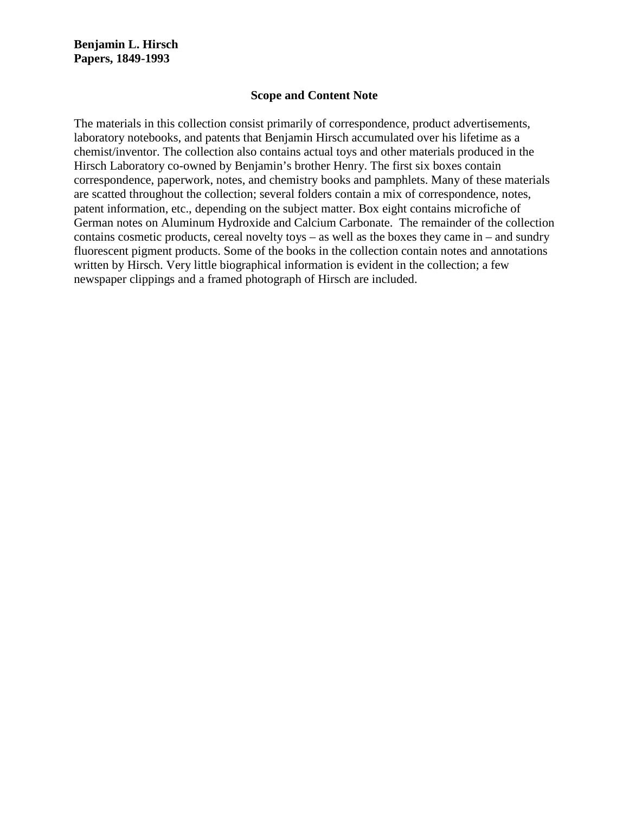#### **Scope and Content Note**

The materials in this collection consist primarily of correspondence, product advertisements, laboratory notebooks, and patents that Benjamin Hirsch accumulated over his lifetime as a chemist/inventor. The collection also contains actual toys and other materials produced in the Hirsch Laboratory co-owned by Benjamin's brother Henry. The first six boxes contain correspondence, paperwork, notes, and chemistry books and pamphlets. Many of these materials are scatted throughout the collection; several folders contain a mix of correspondence, notes, patent information, etc., depending on the subject matter. Box eight contains microfiche of German notes on Aluminum Hydroxide and Calcium Carbonate. The remainder of the collection contains cosmetic products, cereal novelty toys – as well as the boxes they came in – and sundry fluorescent pigment products. Some of the books in the collection contain notes and annotations written by Hirsch. Very little biographical information is evident in the collection; a few newspaper clippings and a framed photograph of Hirsch are included.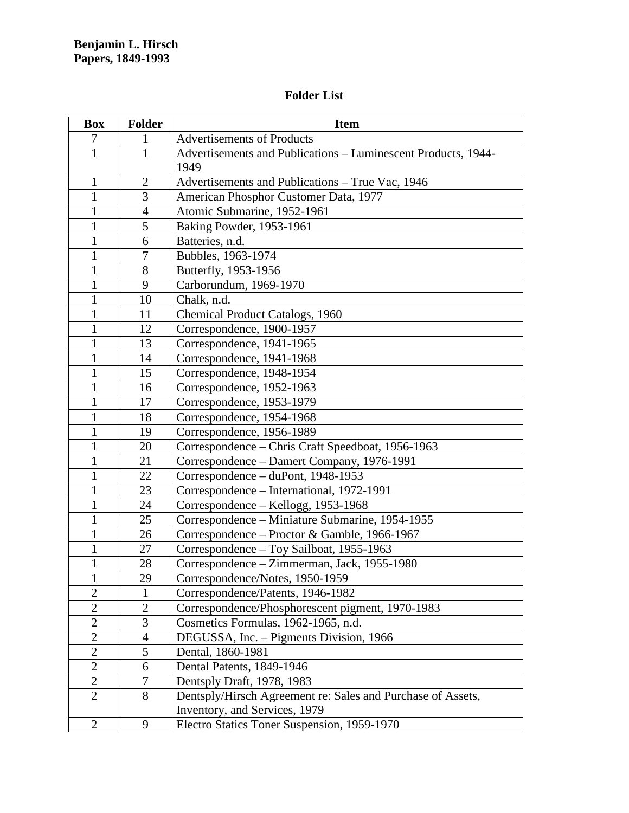## **Folder List**

| <b>Box</b>       | <b>Folder</b>  | <b>Item</b>                                                   |
|------------------|----------------|---------------------------------------------------------------|
| $\boldsymbol{7}$ | $\mathbf{1}$   | <b>Advertisements of Products</b>                             |
| $\mathbf{1}$     | $\mathbf{1}$   | Advertisements and Publications - Luminescent Products, 1944- |
|                  |                | 1949                                                          |
| $\mathbf{1}$     | $\overline{2}$ | Advertisements and Publications - True Vac, 1946              |
| 1                | 3              | American Phosphor Customer Data, 1977                         |
| $\mathbf{1}$     | $\overline{4}$ | Atomic Submarine, 1952-1961                                   |
| $\mathbf{1}$     | 5              | Baking Powder, 1953-1961                                      |
| $\mathbf{1}$     | 6              | Batteries, n.d.                                               |
| $\mathbf{1}$     | $\tau$         | Bubbles, 1963-1974                                            |
| $\mathbf{1}$     | 8              | Butterfly, 1953-1956                                          |
| $\mathbf{1}$     | 9              | Carborundum, 1969-1970                                        |
| $\mathbf{1}$     | 10             | Chalk, n.d.                                                   |
| $\mathbf{1}$     | 11             | Chemical Product Catalogs, 1960                               |
| 1                | 12             | Correspondence, 1900-1957                                     |
| $\mathbf{1}$     | 13             | Correspondence, 1941-1965                                     |
| $\mathbf{1}$     | 14             | Correspondence, 1941-1968                                     |
| $\mathbf{1}$     | 15             | Correspondence, 1948-1954                                     |
| $\mathbf{1}$     | 16             | Correspondence, 1952-1963                                     |
| $\mathbf{1}$     | 17             | Correspondence, 1953-1979                                     |
| $\mathbf{1}$     | 18             | Correspondence, 1954-1968                                     |
| $\mathbf{1}$     | 19             | Correspondence, 1956-1989                                     |
| $\mathbf{1}$     | 20             | Correspondence - Chris Craft Speedboat, 1956-1963             |
| $\mathbf{1}$     | 21             | Correspondence - Damert Company, 1976-1991                    |
| $\mathbf{1}$     | 22             | Correspondence - duPont, 1948-1953                            |
| $\mathbf{1}$     | 23             | Correspondence - International, 1972-1991                     |
| $\mathbf{1}$     | 24             | Correspondence – Kellogg, 1953-1968                           |
| $\mathbf{1}$     | 25             | Correspondence – Miniature Submarine, 1954-1955               |
| $\mathbf{1}$     | 26             | Correspondence – Proctor & Gamble, 1966-1967                  |
| $\mathbf{1}$     | 27             | Correspondence - Toy Sailboat, 1955-1963                      |
| $\mathbf{1}$     | 28             | Correspondence - Zimmerman, Jack, 1955-1980                   |
| 1                | 29             | Correspondence/Notes, 1950-1959                               |
| $\overline{2}$   | 1              | Correspondence/Patents, 1946-1982                             |
| $\overline{2}$   | $\overline{2}$ | Correspondence/Phosphorescent pigment, 1970-1983              |
| $\mathbf{2}$     | 3              | Cosmetics Formulas, 1962-1965, n.d.                           |
| $\overline{2}$   | $\overline{4}$ | DEGUSSA, Inc. – Pigments Division, 1966                       |
| $\overline{2}$   | 5              | Dental, 1860-1981                                             |
| $\overline{2}$   | 6              | Dental Patents, 1849-1946                                     |
| $\overline{2}$   | $\tau$         | Dentsply Draft, 1978, 1983                                    |
| $\overline{2}$   | 8              | Dentsply/Hirsch Agreement re: Sales and Purchase of Assets,   |
|                  |                | Inventory, and Services, 1979                                 |
| $\overline{2}$   | 9              | Electro Statics Toner Suspension, 1959-1970                   |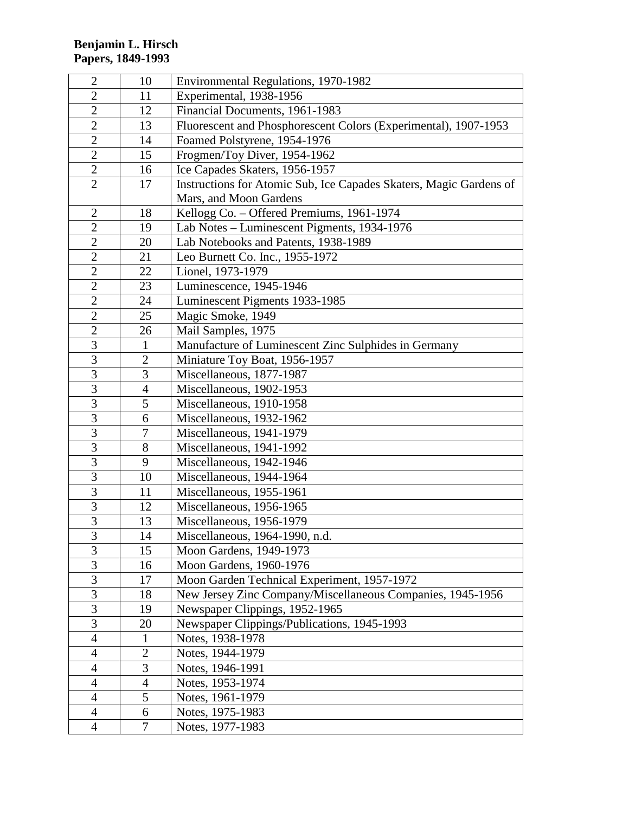| $\mathbf{2}$   | 10             | Environmental Regulations, 1970-1982                               |
|----------------|----------------|--------------------------------------------------------------------|
| $\overline{2}$ | 11             | Experimental, 1938-1956                                            |
| $\overline{2}$ | 12             | Financial Documents, 1961-1983                                     |
| $\overline{2}$ | 13             | Fluorescent and Phosphorescent Colors (Experimental), 1907-1953    |
| $\overline{2}$ | 14             | Foamed Polstyrene, 1954-1976                                       |
| $\overline{2}$ | 15             | Frogmen/Toy Diver, 1954-1962                                       |
| $\overline{2}$ | 16             | Ice Capades Skaters, 1956-1957                                     |
| $\overline{2}$ | 17             | Instructions for Atomic Sub, Ice Capades Skaters, Magic Gardens of |
|                |                | Mars, and Moon Gardens                                             |
| $\overline{2}$ | 18             | Kellogg Co. - Offered Premiums, 1961-1974                          |
| $\mathbf{2}$   | 19             | Lab Notes – Luminescent Pigments, 1934-1976                        |
| $\overline{2}$ | 20             | Lab Notebooks and Patents, 1938-1989                               |
| $\overline{2}$ | 21             | Leo Burnett Co. Inc., 1955-1972                                    |
| $\overline{2}$ | 22             | Lionel, 1973-1979                                                  |
| $\overline{2}$ | 23             | Luminescence, 1945-1946                                            |
| $\overline{2}$ | 24             | Luminescent Pigments 1933-1985                                     |
| $\overline{2}$ | 25             | Magic Smoke, 1949                                                  |
| $\overline{2}$ | 26             | Mail Samples, 1975                                                 |
| 3              | $\mathbf{1}$   | Manufacture of Luminescent Zinc Sulphides in Germany               |
| $\overline{3}$ | $\overline{2}$ | Miniature Toy Boat, 1956-1957                                      |
| $\overline{3}$ | 3              | Miscellaneous, 1877-1987                                           |
| $\overline{3}$ | $\overline{4}$ | Miscellaneous, 1902-1953                                           |
| 3              | 5              | Miscellaneous, 1910-1958                                           |
| 3              | 6              | Miscellaneous, 1932-1962                                           |
| $\overline{3}$ | 7              | Miscellaneous, 1941-1979                                           |
| $\overline{3}$ | 8              | Miscellaneous, 1941-1992                                           |
| $\overline{3}$ | 9              | Miscellaneous, 1942-1946                                           |
| $\overline{3}$ | 10             | Miscellaneous, 1944-1964                                           |
| $\overline{3}$ | 11             | Miscellaneous, 1955-1961                                           |
| $\overline{3}$ | 12             | Miscellaneous, 1956-1965                                           |
| $\overline{3}$ | 13             | Miscellaneous, 1956-1979                                           |
| 3              | 14             | Miscellaneous, 1964-1990, n.d.                                     |
| 3              | 15             | Moon Gardens, 1949-1973                                            |
| 3              | 16             | Moon Gardens, 1960-1976                                            |
| $\overline{3}$ | 17             | Moon Garden Technical Experiment, 1957-1972                        |
| 3              | 18             | New Jersey Zinc Company/Miscellaneous Companies, 1945-1956         |
| $\mathfrak{Z}$ | 19             | Newspaper Clippings, 1952-1965                                     |
| 3              | 20             | Newspaper Clippings/Publications, 1945-1993                        |
| $\overline{4}$ | $\mathbf{1}$   | Notes, 1938-1978                                                   |
| $\overline{4}$ | $\overline{2}$ | Notes, 1944-1979                                                   |
| 4              | 3              | Notes, 1946-1991                                                   |
| $\overline{4}$ | $\overline{4}$ | Notes, 1953-1974                                                   |
| $\overline{4}$ | 5              | Notes, 1961-1979                                                   |
| $\overline{4}$ | 6              | Notes, 1975-1983                                                   |
| $\overline{4}$ | $\tau$         | Notes, 1977-1983                                                   |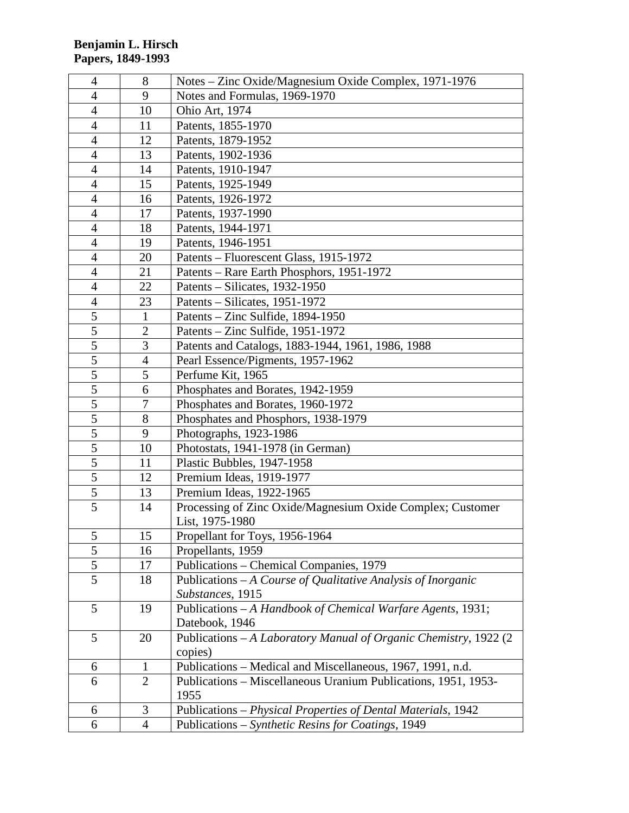| $\overline{4}$ | 8              | Notes – Zinc Oxide/Magnesium Oxide Complex, 1971-1976             |
|----------------|----------------|-------------------------------------------------------------------|
| $\overline{4}$ | 9              | Notes and Formulas, 1969-1970                                     |
| $\overline{4}$ | 10             | Ohio Art, 1974                                                    |
| $\overline{4}$ | 11             | Patents, 1855-1970                                                |
| $\overline{4}$ | 12             | Patents, 1879-1952                                                |
| $\overline{4}$ | 13             | Patents, 1902-1936                                                |
| $\overline{4}$ | 14             | Patents, 1910-1947                                                |
| $\overline{4}$ | 15             | Patents, 1925-1949                                                |
| $\overline{4}$ | 16             | Patents, 1926-1972                                                |
| $\overline{4}$ | 17             | Patents, 1937-1990                                                |
| $\overline{4}$ | 18             | Patents, 1944-1971                                                |
| 4              | 19             | Patents, 1946-1951                                                |
| $\overline{4}$ | 20             | Patents – Fluorescent Glass, 1915-1972                            |
| $\overline{4}$ | 21             | Patents – Rare Earth Phosphors, 1951-1972                         |
| $\overline{4}$ | 22             | Patents – Silicates, 1932-1950                                    |
| $\overline{4}$ | 23             | Patents – Silicates, 1951-1972                                    |
| $\overline{5}$ | $\mathbf{1}$   | Patents – Zinc Sulfide, 1894-1950                                 |
| $\overline{5}$ | $\overline{2}$ | Patents – Zinc Sulfide, 1951-1972                                 |
| $\overline{5}$ | 3              | Patents and Catalogs, 1883-1944, 1961, 1986, 1988                 |
| $\overline{5}$ | $\overline{4}$ | Pearl Essence/Pigments, 1957-1962                                 |
| $\overline{5}$ | 5              | Perfume Kit, 1965                                                 |
| $\overline{5}$ | 6              | Phosphates and Borates, 1942-1959                                 |
| 5              | 7              | Phosphates and Borates, 1960-1972                                 |
| $\mathfrak s$  | 8              | Phosphates and Phosphors, 1938-1979                               |
| $\overline{5}$ | 9              | Photographs, 1923-1986                                            |
| 5              | 10             | Photostats, 1941-1978 (in German)                                 |
| 5              | 11             | Plastic Bubbles, 1947-1958                                        |
| 5              | 12             | Premium Ideas, 1919-1977                                          |
| $\mathfrak s$  | 13             | Premium Ideas, 1922-1965                                          |
| $\overline{5}$ | 14             | Processing of Zinc Oxide/Magnesium Oxide Complex; Customer        |
|                |                | List, 1975-1980                                                   |
| 5              | 15             | Propellant for Toys, 1956-1964                                    |
| $\mathfrak s$  | 16             | Propellants, 1959                                                 |
| 5              | 17             | Publications - Chemical Companies, 1979                           |
| 5              | 18             | Publications $-A$ Course of Qualitative Analysis of Inorganic     |
|                |                | Substances, 1915                                                  |
| 5              | 19             | Publications - A Handbook of Chemical Warfare Agents, 1931;       |
|                |                | Datebook, 1946                                                    |
| 5              | 20             | Publications - A Laboratory Manual of Organic Chemistry, 1922 (2) |
|                |                | copies)                                                           |
| 6              | $\mathbf{1}$   | Publications - Medical and Miscellaneous, 1967, 1991, n.d.        |
| 6              | $\overline{2}$ | Publications – Miscellaneous Uranium Publications, 1951, 1953-    |
|                |                | 1955                                                              |
| 6              | 3              | Publications - Physical Properties of Dental Materials, 1942      |
| 6              | 4              | Publications - Synthetic Resins for Coatings, 1949                |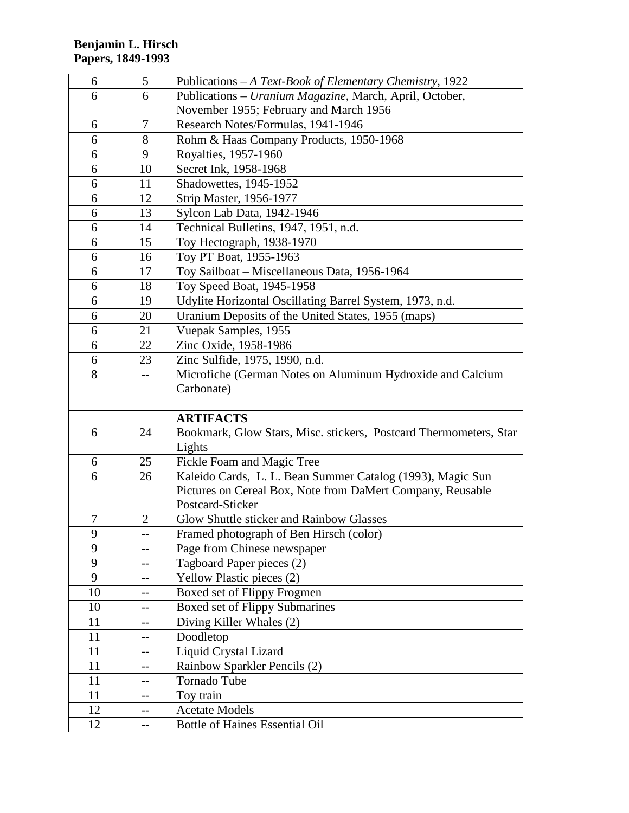| 6        | 5              | Publications – A Text-Book of Elementary Chemistry, 1922          |
|----------|----------------|-------------------------------------------------------------------|
| 6        | 6              | Publications - Uranium Magazine, March, April, October,           |
|          |                | November 1955; February and March 1956                            |
| 6        | 7              | Research Notes/Formulas, 1941-1946                                |
| 6        | 8              | Rohm & Haas Company Products, 1950-1968                           |
| 6        | 9              | Royalties, 1957-1960                                              |
| 6        | 10             | Secret Ink, 1958-1968                                             |
| 6        | 11             | Shadowettes, 1945-1952                                            |
| 6        | 12             | Strip Master, 1956-1977                                           |
| 6        | 13             | Sylcon Lab Data, 1942-1946                                        |
| 6        | 14             | Technical Bulletins, 1947, 1951, n.d.                             |
| 6        | 15             | Toy Hectograph, 1938-1970                                         |
| 6        | 16             | Toy PT Boat, 1955-1963                                            |
| 6        | 17             | Toy Sailboat - Miscellaneous Data, 1956-1964                      |
| 6        | 18             | Toy Speed Boat, 1945-1958                                         |
| 6        | 19             | Udylite Horizontal Oscillating Barrel System, 1973, n.d.          |
| 6        | 20             | Uranium Deposits of the United States, 1955 (maps)                |
| 6        | 21             | Vuepak Samples, 1955                                              |
| 6        | 22             | Zinc Oxide, 1958-1986                                             |
| 6        | 23             | Zinc Sulfide, 1975, 1990, n.d.                                    |
| 8        |                | Microfiche (German Notes on Aluminum Hydroxide and Calcium        |
|          |                | Carbonate)                                                        |
|          |                |                                                                   |
|          |                |                                                                   |
|          |                | <b>ARTIFACTS</b>                                                  |
| 6        | 24             | Bookmark, Glow Stars, Misc. stickers, Postcard Thermometers, Star |
|          |                | Lights                                                            |
| 6        | 25             | Fickle Foam and Magic Tree                                        |
| 6        | 26             | Kaleido Cards, L. L. Bean Summer Catalog (1993), Magic Sun        |
|          |                | Pictures on Cereal Box, Note from DaMert Company, Reusable        |
|          |                | Postcard-Sticker                                                  |
| 7        | $\overline{2}$ | Glow Shuttle sticker and Rainbow Glasses                          |
| 9        |                | Framed photograph of Ben Hirsch (color)                           |
| 9        | $-$            | Page from Chinese newspaper                                       |
| 9        |                | Tagboard Paper pieces (2)                                         |
| 9        | --             | Yellow Plastic pieces (2)                                         |
| 10       | --             | Boxed set of Flippy Frogmen                                       |
| 10       | --             | Boxed set of Flippy Submarines                                    |
| 11       |                | Diving Killer Whales (2)                                          |
| 11       | $-$            | Doodletop                                                         |
| 11       |                | Liquid Crystal Lizard                                             |
| 11       | --             | Rainbow Sparkler Pencils (2)                                      |
| 11       |                | Tornado Tube                                                      |
| 11       | --             | Toy train                                                         |
| 12<br>12 | --             | <b>Acetate Models</b><br><b>Bottle of Haines Essential Oil</b>    |